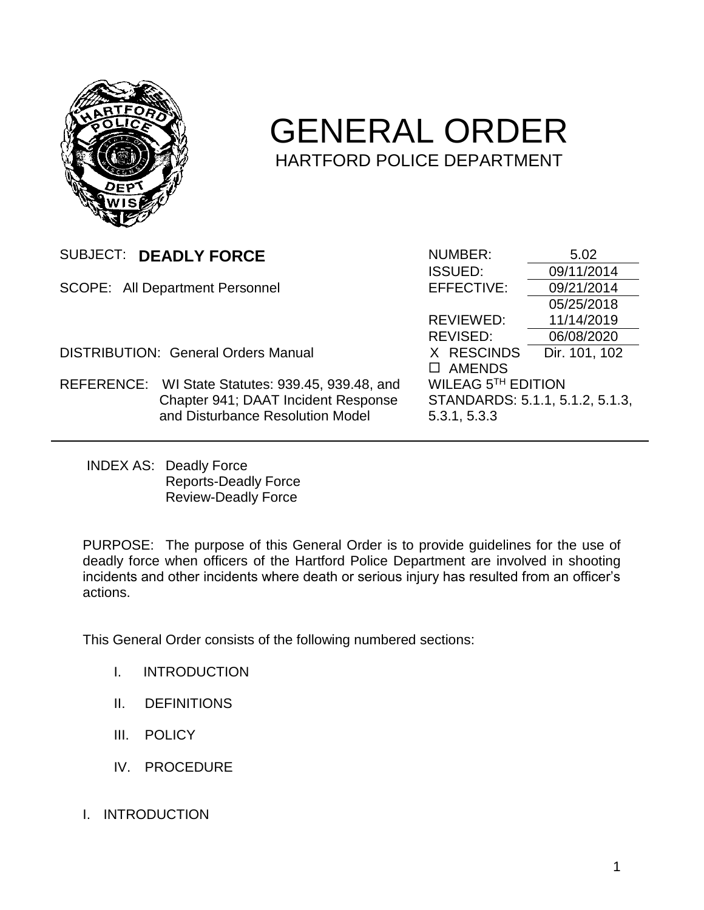

# GENERAL ORDER HARTFORD POLICE DEPARTMENT

| SUBJECT: DEADLY FORCE                      |                                                   | NUMBER:                         | 5.02          |
|--------------------------------------------|---------------------------------------------------|---------------------------------|---------------|
|                                            |                                                   | <b>ISSUED:</b>                  | 09/11/2014    |
| <b>SCOPE: All Department Personnel</b>     |                                                   | EFFECTIVE:                      | 09/21/2014    |
|                                            |                                                   |                                 | 05/25/2018    |
|                                            |                                                   | REVIEWED:                       | 11/14/2019    |
|                                            |                                                   | REVISED:                        | 06/08/2020    |
| <b>DISTRIBUTION: General Orders Manual</b> |                                                   | X RESCINDS                      | Dir. 101, 102 |
|                                            |                                                   | <b>AMENDS</b>                   |               |
|                                            | REFERENCE: WI State Statutes: 939.45, 939.48, and | WILEAG 5TH EDITION              |               |
|                                            | Chapter 941; DAAT Incident Response               | STANDARDS: 5.1.1, 5.1.2, 5.1.3, |               |
|                                            | and Disturbance Resolution Model                  | 5.3.1, 5.3.3                    |               |
|                                            |                                                   |                                 |               |

INDEX AS: Deadly Force Reports-Deadly Force Review-Deadly Force

PURPOSE: The purpose of this General Order is to provide guidelines for the use of deadly force when officers of the Hartford Police Department are involved in shooting incidents and other incidents where death or serious injury has resulted from an officer's actions.

This General Order consists of the following numbered sections:

- I. INTRODUCTION
- II. DEFINITIONS
- III. POLICY
- IV. PROCEDURE
- I. INTRODUCTION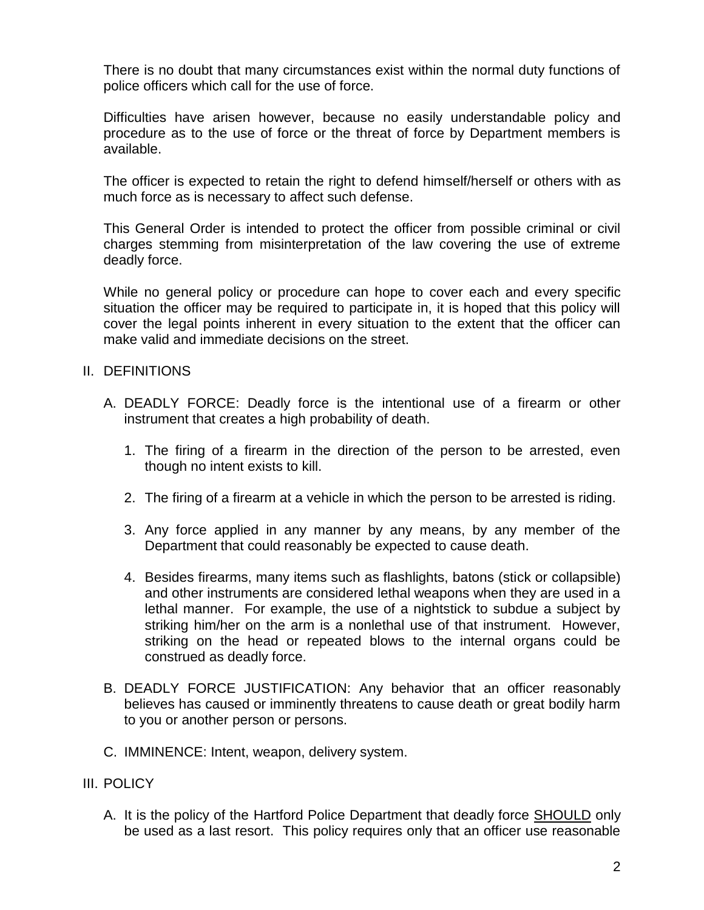There is no doubt that many circumstances exist within the normal duty functions of police officers which call for the use of force.

Difficulties have arisen however, because no easily understandable policy and procedure as to the use of force or the threat of force by Department members is available.

The officer is expected to retain the right to defend himself/herself or others with as much force as is necessary to affect such defense.

This General Order is intended to protect the officer from possible criminal or civil charges stemming from misinterpretation of the law covering the use of extreme deadly force.

While no general policy or procedure can hope to cover each and every specific situation the officer may be required to participate in, it is hoped that this policy will cover the legal points inherent in every situation to the extent that the officer can make valid and immediate decisions on the street.

# II. DEFINITIONS

- A. DEADLY FORCE: Deadly force is the intentional use of a firearm or other instrument that creates a high probability of death.
	- 1. The firing of a firearm in the direction of the person to be arrested, even though no intent exists to kill.
	- 2. The firing of a firearm at a vehicle in which the person to be arrested is riding.
	- 3. Any force applied in any manner by any means, by any member of the Department that could reasonably be expected to cause death.
	- 4. Besides firearms, many items such as flashlights, batons (stick or collapsible) and other instruments are considered lethal weapons when they are used in a lethal manner. For example, the use of a nightstick to subdue a subject by striking him/her on the arm is a nonlethal use of that instrument. However, striking on the head or repeated blows to the internal organs could be construed as deadly force.
- B. DEADLY FORCE JUSTIFICATION: Any behavior that an officer reasonably believes has caused or imminently threatens to cause death or great bodily harm to you or another person or persons.
- C. IMMINENCE: Intent, weapon, delivery system.

# III. POLICY

A. It is the policy of the Hartford Police Department that deadly force SHOULD only be used as a last resort. This policy requires only that an officer use reasonable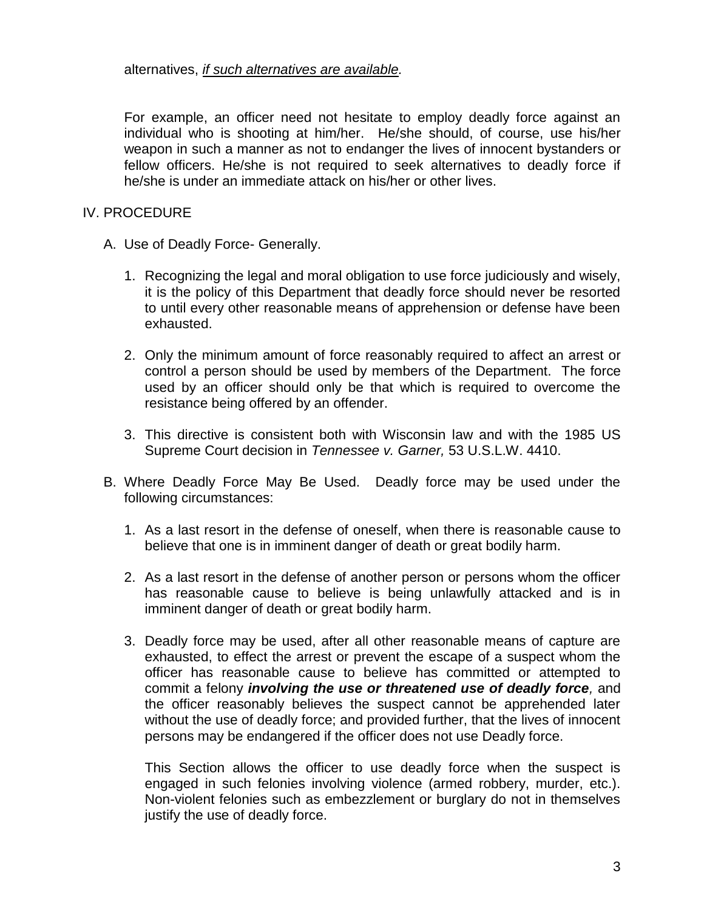alternatives, *if such alternatives are available.*

For example, an officer need not hesitate to employ deadly force against an individual who is shooting at him/her. He/she should, of course, use his/her weapon in such a manner as not to endanger the lives of innocent bystanders or fellow officers. He/she is not required to seek alternatives to deadly force if he/she is under an immediate attack on his/her or other lives.

# IV. PROCEDURE

- A. Use of Deadly Force- Generally.
	- 1. Recognizing the legal and moral obligation to use force judiciously and wisely, it is the policy of this Department that deadly force should never be resorted to until every other reasonable means of apprehension or defense have been exhausted.
	- 2. Only the minimum amount of force reasonably required to affect an arrest or control a person should be used by members of the Department. The force used by an officer should only be that which is required to overcome the resistance being offered by an offender.
	- 3. This directive is consistent both with Wisconsin law and with the 1985 US Supreme Court decision in *Tennessee v. Garner,* 53 U.S.L.W. 4410.
- B. Where Deadly Force May Be Used. Deadly force may be used under the following circumstances:
	- 1. As a last resort in the defense of oneself, when there is reasonable cause to believe that one is in imminent danger of death or great bodily harm.
	- 2. As a last resort in the defense of another person or persons whom the officer has reasonable cause to believe is being unlawfully attacked and is in imminent danger of death or great bodily harm.
	- 3. Deadly force may be used, after all other reasonable means of capture are exhausted, to effect the arrest or prevent the escape of a suspect whom the officer has reasonable cause to believe has committed or attempted to commit a felony *involving the use or threatened use of deadly force,* and the officer reasonably believes the suspect cannot be apprehended later without the use of deadly force; and provided further, that the lives of innocent persons may be endangered if the officer does not use Deadly force.

This Section allows the officer to use deadly force when the suspect is engaged in such felonies involving violence (armed robbery, murder, etc.). Non-violent felonies such as embezzlement or burglary do not in themselves justify the use of deadly force.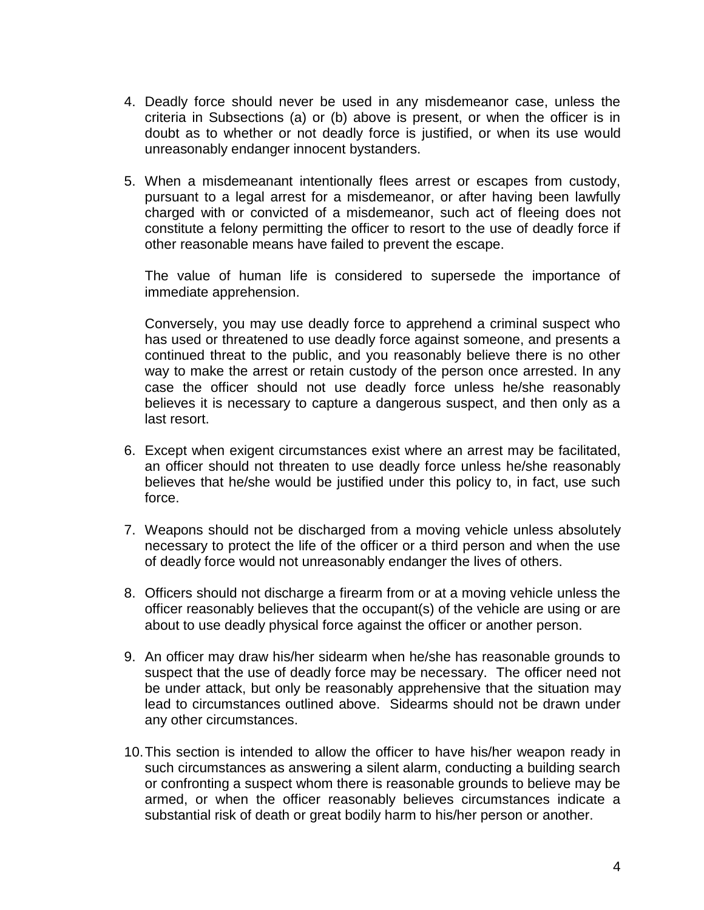- 4. Deadly force should never be used in any misdemeanor case, unless the criteria in Subsections (a) or (b) above is present, or when the officer is in doubt as to whether or not deadly force is justified, or when its use would unreasonably endanger innocent bystanders.
- 5. When a misdemeanant intentionally flees arrest or escapes from custody, pursuant to a legal arrest for a misdemeanor, or after having been lawfully charged with or convicted of a misdemeanor, such act of fleeing does not constitute a felony permitting the officer to resort to the use of deadly force if other reasonable means have failed to prevent the escape.

The value of human life is considered to supersede the importance of immediate apprehension.

Conversely, you may use deadly force to apprehend a criminal suspect who has used or threatened to use deadly force against someone, and presents a continued threat to the public, and you reasonably believe there is no other way to make the arrest or retain custody of the person once arrested. In any case the officer should not use deadly force unless he/she reasonably believes it is necessary to capture a dangerous suspect, and then only as a last resort.

- 6. Except when exigent circumstances exist where an arrest may be facilitated, an officer should not threaten to use deadly force unless he/she reasonably believes that he/she would be justified under this policy to, in fact, use such force.
- 7. Weapons should not be discharged from a moving vehicle unless absolutely necessary to protect the life of the officer or a third person and when the use of deadly force would not unreasonably endanger the lives of others.
- 8. Officers should not discharge a firearm from or at a moving vehicle unless the officer reasonably believes that the occupant(s) of the vehicle are using or are about to use deadly physical force against the officer or another person.
- 9. An officer may draw his/her sidearm when he/she has reasonable grounds to suspect that the use of deadly force may be necessary. The officer need not be under attack, but only be reasonably apprehensive that the situation may lead to circumstances outlined above. Sidearms should not be drawn under any other circumstances.
- 10.This section is intended to allow the officer to have his/her weapon ready in such circumstances as answering a silent alarm, conducting a building search or confronting a suspect whom there is reasonable grounds to believe may be armed, or when the officer reasonably believes circumstances indicate a substantial risk of death or great bodily harm to his/her person or another.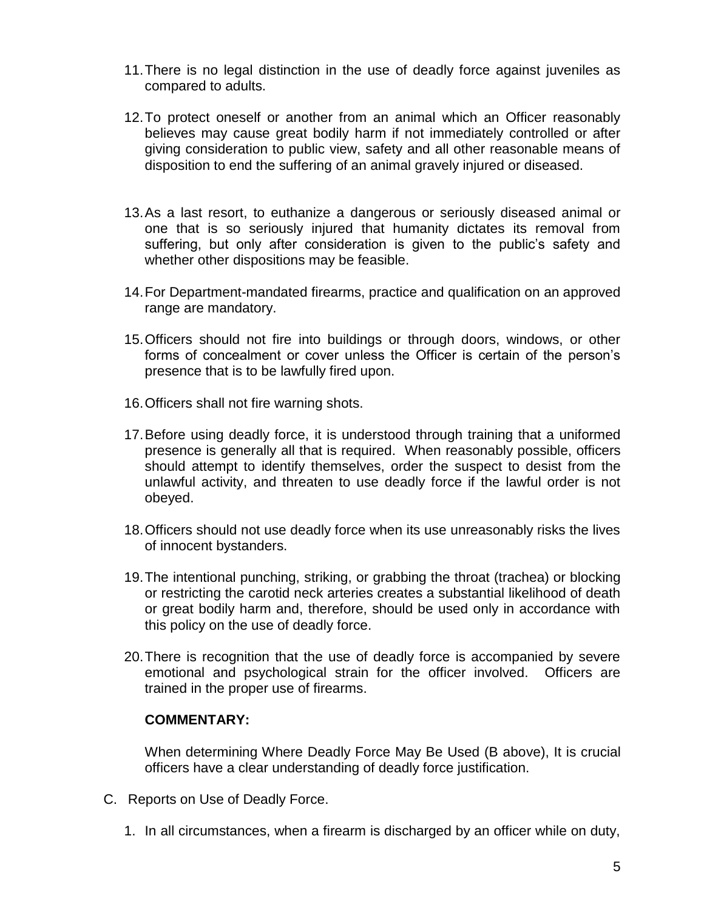- 11.There is no legal distinction in the use of deadly force against juveniles as compared to adults.
- 12.To protect oneself or another from an animal which an Officer reasonably believes may cause great bodily harm if not immediately controlled or after giving consideration to public view, safety and all other reasonable means of disposition to end the suffering of an animal gravely injured or diseased.
- 13.As a last resort, to euthanize a dangerous or seriously diseased animal or one that is so seriously injured that humanity dictates its removal from suffering, but only after consideration is given to the public's safety and whether other dispositions may be feasible.
- 14.For Department-mandated firearms, practice and qualification on an approved range are mandatory.
- 15.Officers should not fire into buildings or through doors, windows, or other forms of concealment or cover unless the Officer is certain of the person's presence that is to be lawfully fired upon.
- 16.Officers shall not fire warning shots.
- 17.Before using deadly force, it is understood through training that a uniformed presence is generally all that is required. When reasonably possible, officers should attempt to identify themselves, order the suspect to desist from the unlawful activity, and threaten to use deadly force if the lawful order is not obeyed.
- 18.Officers should not use deadly force when its use unreasonably risks the lives of innocent bystanders.
- 19.The intentional punching, striking, or grabbing the throat (trachea) or blocking or restricting the carotid neck arteries creates a substantial likelihood of death or great bodily harm and, therefore, should be used only in accordance with this policy on the use of deadly force.
- 20.There is recognition that the use of deadly force is accompanied by severe emotional and psychological strain for the officer involved. Officers are trained in the proper use of firearms.

# **COMMENTARY:**

When determining Where Deadly Force May Be Used (B above), It is crucial officers have a clear understanding of deadly force justification.

- C. Reports on Use of Deadly Force.
	- 1. In all circumstances, when a firearm is discharged by an officer while on duty,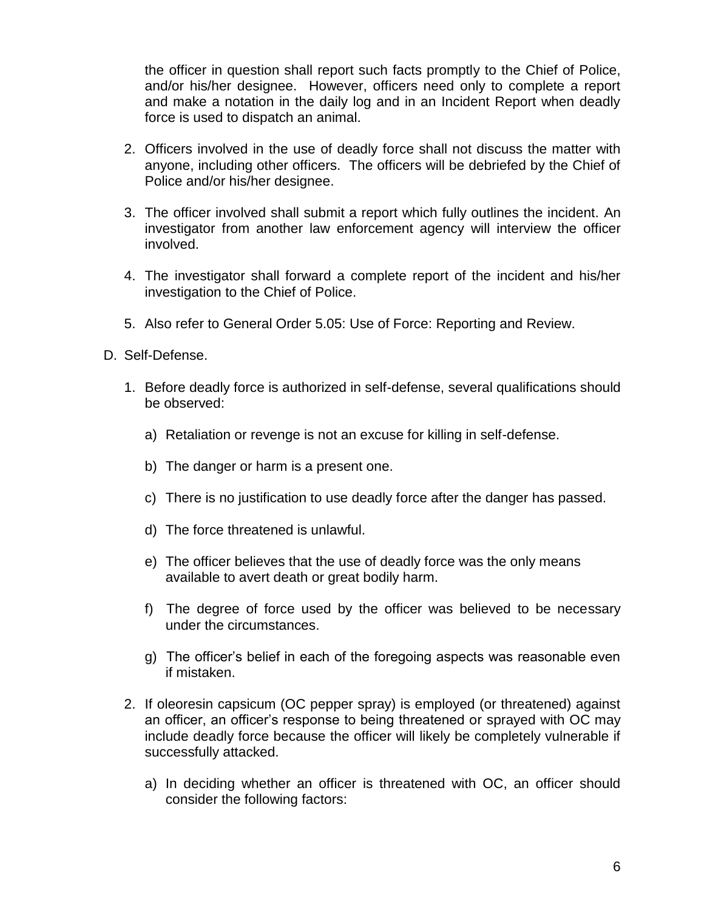the officer in question shall report such facts promptly to the Chief of Police, and/or his/her designee. However, officers need only to complete a report and make a notation in the daily log and in an Incident Report when deadly force is used to dispatch an animal.

- 2. Officers involved in the use of deadly force shall not discuss the matter with anyone, including other officers. The officers will be debriefed by the Chief of Police and/or his/her designee.
- 3. The officer involved shall submit a report which fully outlines the incident. An investigator from another law enforcement agency will interview the officer involved.
- 4. The investigator shall forward a complete report of the incident and his/her investigation to the Chief of Police.
- 5. Also refer to General Order 5.05: Use of Force: Reporting and Review.
- D. Self-Defense.
	- 1. Before deadly force is authorized in self-defense, several qualifications should be observed:
		- a) Retaliation or revenge is not an excuse for killing in self-defense.
		- b) The danger or harm is a present one.
		- c) There is no justification to use deadly force after the danger has passed.
		- d) The force threatened is unlawful.
		- e) The officer believes that the use of deadly force was the only means available to avert death or great bodily harm.
		- f) The degree of force used by the officer was believed to be necessary under the circumstances.
		- g) The officer's belief in each of the foregoing aspects was reasonable even if mistaken.
	- 2. If oleoresin capsicum (OC pepper spray) is employed (or threatened) against an officer, an officer's response to being threatened or sprayed with OC may include deadly force because the officer will likely be completely vulnerable if successfully attacked.
		- a) In deciding whether an officer is threatened with OC, an officer should consider the following factors: